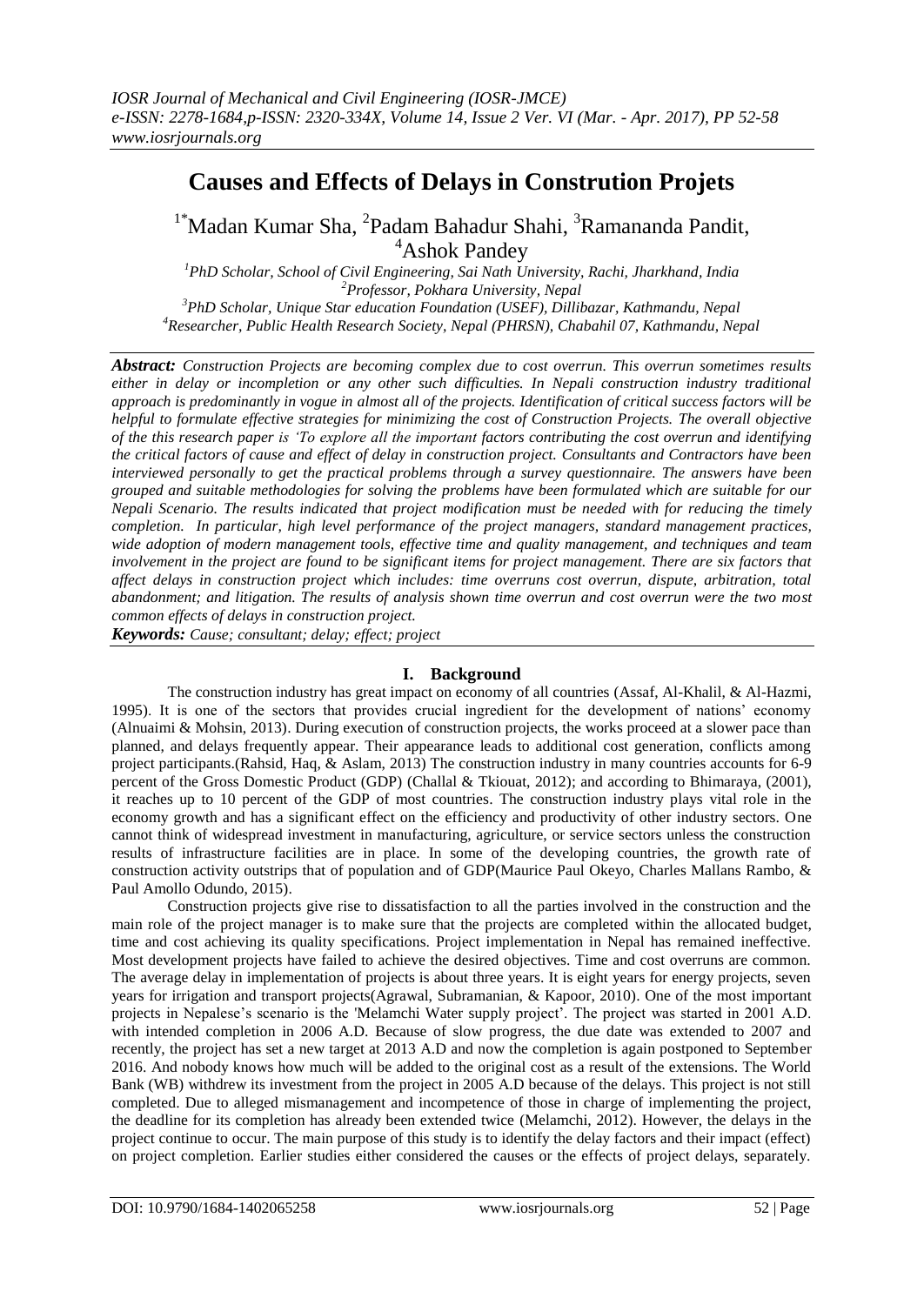# **Causes and Effects of Delays in Constrution Projets**

<sup>1\*</sup>Madan Kumar Sha, <sup>2</sup>Padam Bahadur Shahi, <sup>3</sup>Ramananda Pandit, <sup>4</sup>Ashok Pandey

*PhD Scholar, School of Civil Engineering, Sai Nath University, Rachi, Jharkhand, India Professor, Pokhara University, Nepal PhD Scholar, Unique Star education Foundation (USEF), Dillibazar, Kathmandu, Nepal Researcher, Public Health Research Society, Nepal (PHRSN), Chabahil 07, Kathmandu, Nepal*

*Abstract: Construction Projects are becoming complex due to cost overrun. This overrun sometimes results either in delay or incompletion or any other such difficulties. In Nepali construction industry traditional approach is predominantly in vogue in almost all of the projects. Identification of critical success factors will be helpful to formulate effective strategies for minimizing the cost of Construction Projects. The overall objective of the this research paper is 'To explore all the important factors contributing the cost overrun and identifying the critical factors of cause and effect of delay in construction project. Consultants and Contractors have been interviewed personally to get the practical problems through a survey questionnaire. The answers have been grouped and suitable methodologies for solving the problems have been formulated which are suitable for our Nepali Scenario. The results indicated that project modification must be needed with for reducing the timely completion. In particular, high level performance of the project managers, standard management practices, wide adoption of modern management tools, effective time and quality management, and techniques and team involvement in the project are found to be significant items for project management. There are six factors that affect delays in construction project which includes: time overruns cost overrun, dispute, arbitration, total abandonment; and litigation. The results of analysis shown time overrun and cost overrun were the two most common effects of delays in construction project.*

*Keywords: Cause; consultant; delay; effect; project*

# **I. Background**

The construction industry has great impact on economy of all countries (Assaf, Al-Khalil, & Al-Hazmi, 1995). It is one of the sectors that provides crucial ingredient for the development of nations' economy (Alnuaimi & Mohsin, 2013). During execution of construction projects, the works proceed at a slower pace than planned, and delays frequently appear. Their appearance leads to additional cost generation, conflicts among project participants.(Rahsid, Haq, & Aslam, 2013) The construction industry in many countries accounts for 6-9 percent of the Gross Domestic Product (GDP) (Challal & Tkiouat, 2012); and according to Bhimaraya, (2001), it reaches up to 10 percent of the GDP of most countries. The construction industry plays vital role in the economy growth and has a significant effect on the efficiency and productivity of other industry sectors. One cannot think of widespread investment in manufacturing, agriculture, or service sectors unless the construction results of infrastructure facilities are in place. In some of the developing countries, the growth rate of construction activity outstrips that of population and of GDP(Maurice Paul Okeyo, Charles Mallans Rambo, & Paul Amollo Odundo, 2015).

Construction projects give rise to dissatisfaction to all the parties involved in the construction and the main role of the project manager is to make sure that the projects are completed within the allocated budget, time and cost achieving its quality specifications. Project implementation in Nepal has remained ineffective. Most development projects have failed to achieve the desired objectives. Time and cost overruns are common. The average delay in implementation of projects is about three years. It is eight years for energy projects, seven years for irrigation and transport projects(Agrawal, Subramanian, & Kapoor, 2010). One of the most important projects in Nepalese's scenario is the 'Melamchi Water supply project'. The project was started in 2001 A.D. with intended completion in 2006 A.D. Because of slow progress, the due date was extended to 2007 and recently, the project has set a new target at 2013 A.D and now the completion is again postponed to September 2016. And nobody knows how much will be added to the original cost as a result of the extensions. The World Bank (WB) withdrew its investment from the project in 2005 A.D because of the delays. This project is not still completed. Due to alleged mismanagement and incompetence of those in charge of implementing the project, the deadline for its completion has already been extended twice (Melamchi, 2012). However, the delays in the project continue to occur. The main purpose of this study is to identify the delay factors and their impact (effect) on project completion. Earlier studies either considered the causes or the effects of project delays, separately.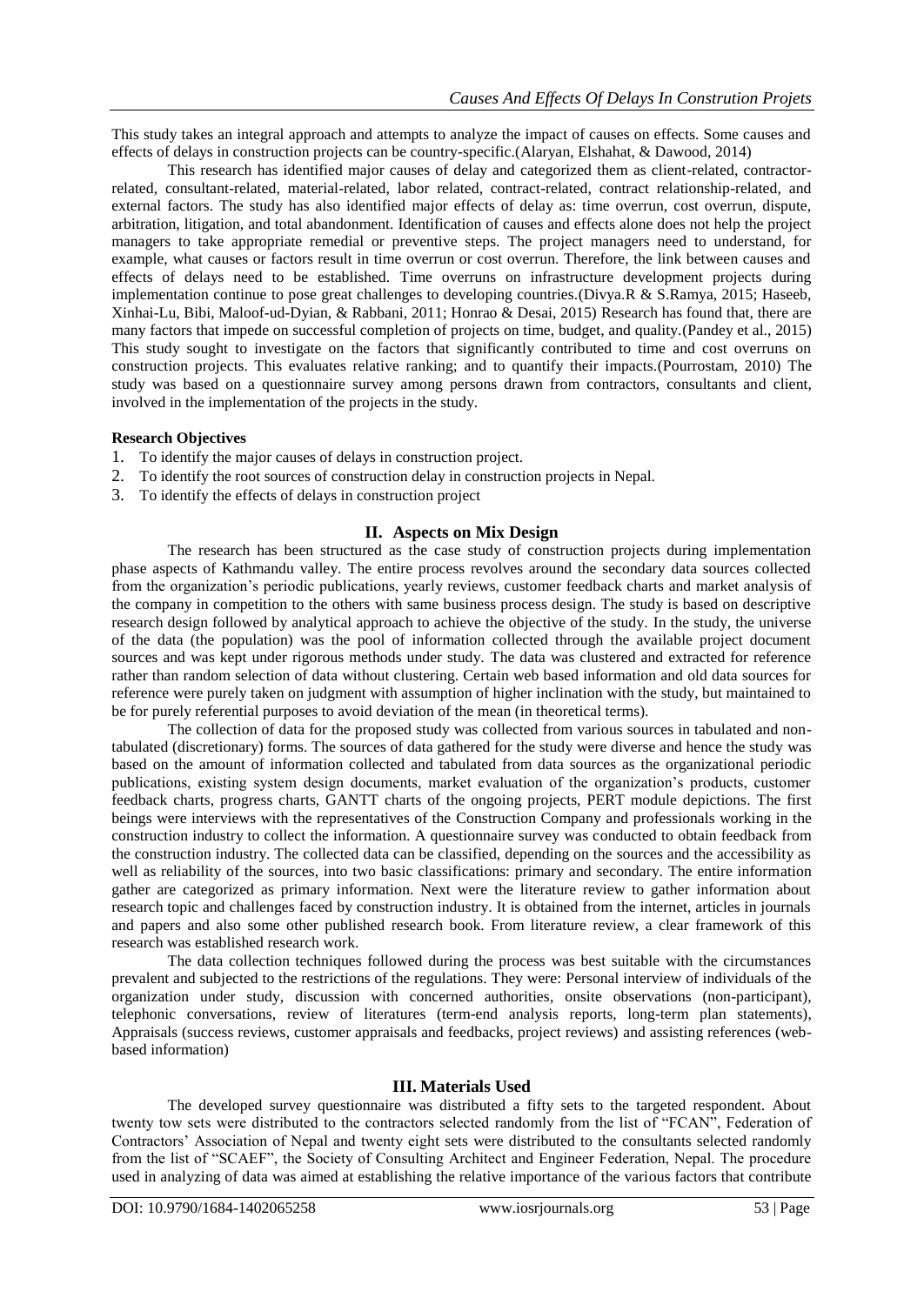This study takes an integral approach and attempts to analyze the impact of causes on effects. Some causes and effects of delays in construction projects can be country-specific.(Alaryan, Elshahat, & Dawood, 2014)

This research has identified major causes of delay and categorized them as client-related, contractorrelated, consultant-related, material-related, labor related, contract-related, contract relationship-related, and external factors. The study has also identified major effects of delay as: time overrun, cost overrun, dispute, arbitration, litigation, and total abandonment. Identification of causes and effects alone does not help the project managers to take appropriate remedial or preventive steps. The project managers need to understand, for example, what causes or factors result in time overrun or cost overrun. Therefore, the link between causes and effects of delays need to be established. Time overruns on infrastructure development projects during implementation continue to pose great challenges to developing countries.(Divya.R & S.Ramya, 2015; Haseeb, Xinhai-Lu, Bibi, Maloof-ud-Dyian, & Rabbani, 2011; Honrao & Desai, 2015) Research has found that, there are many factors that impede on successful completion of projects on time, budget, and quality.(Pandey et al., 2015) This study sought to investigate on the factors that significantly contributed to time and cost overruns on construction projects. This evaluates relative ranking; and to quantify their impacts.(Pourrostam, 2010) The study was based on a questionnaire survey among persons drawn from contractors, consultants and client, involved in the implementation of the projects in the study.

## **Research Objectives**

- 1. To identify the major causes of delays in construction project.
- 2. To identify the root sources of construction delay in construction projects in Nepal.
- 3. To identify the effects of delays in construction project

# **II. Aspects on Mix Design**

The research has been structured as the case study of construction projects during implementation phase aspects of Kathmandu valley. The entire process revolves around the secondary data sources collected from the organization's periodic publications, yearly reviews, customer feedback charts and market analysis of the company in competition to the others with same business process design. The study is based on descriptive research design followed by analytical approach to achieve the objective of the study. In the study, the universe of the data (the population) was the pool of information collected through the available project document sources and was kept under rigorous methods under study. The data was clustered and extracted for reference rather than random selection of data without clustering. Certain web based information and old data sources for reference were purely taken on judgment with assumption of higher inclination with the study, but maintained to be for purely referential purposes to avoid deviation of the mean (in theoretical terms).

The collection of data for the proposed study was collected from various sources in tabulated and nontabulated (discretionary) forms. The sources of data gathered for the study were diverse and hence the study was based on the amount of information collected and tabulated from data sources as the organizational periodic publications, existing system design documents, market evaluation of the organization's products, customer feedback charts, progress charts, GANTT charts of the ongoing projects, PERT module depictions. The first beings were interviews with the representatives of the Construction Company and professionals working in the construction industry to collect the information. A questionnaire survey was conducted to obtain feedback from the construction industry. The collected data can be classified, depending on the sources and the accessibility as well as reliability of the sources, into two basic classifications: primary and secondary. The entire information gather are categorized as primary information. Next were the literature review to gather information about research topic and challenges faced by construction industry. It is obtained from the internet, articles in journals and papers and also some other published research book. From literature review, a clear framework of this research was established research work.

The data collection techniques followed during the process was best suitable with the circumstances prevalent and subjected to the restrictions of the regulations. They were: Personal interview of individuals of the organization under study, discussion with concerned authorities, onsite observations (non-participant), telephonic conversations, review of literatures (term-end analysis reports, long-term plan statements), Appraisals (success reviews, customer appraisals and feedbacks, project reviews) and assisting references (webbased information)

## **III. Materials Used**

The developed survey questionnaire was distributed a fifty sets to the targeted respondent. About twenty tow sets were distributed to the contractors selected randomly from the list of "FCAN", Federation of Contractors' Association of Nepal and twenty eight sets were distributed to the consultants selected randomly from the list of "SCAEF", the Society of Consulting Architect and Engineer Federation, Nepal. The procedure used in analyzing of data was aimed at establishing the relative importance of the various factors that contribute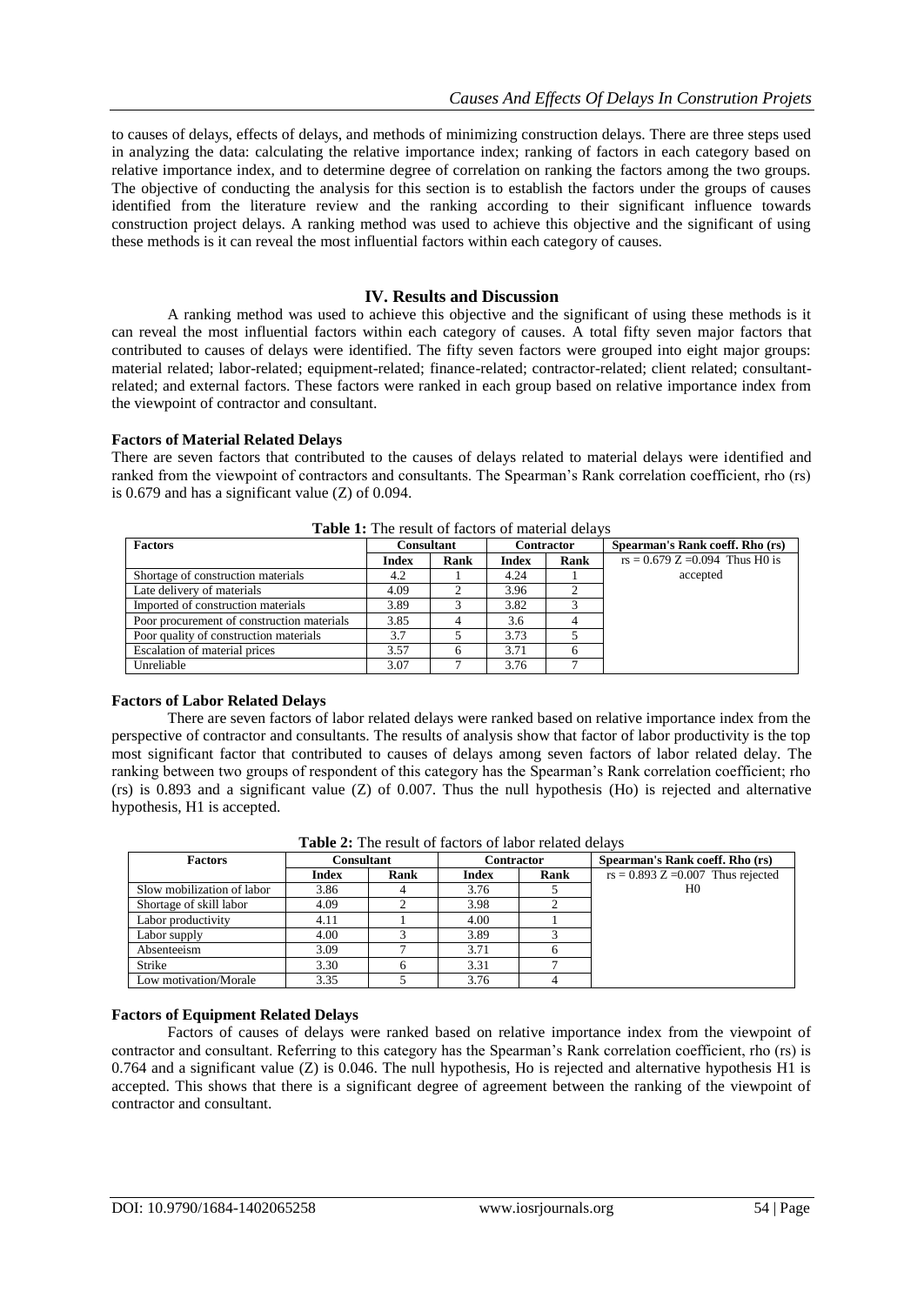to causes of delays, effects of delays, and methods of minimizing construction delays. There are three steps used in analyzing the data: calculating the relative importance index; ranking of factors in each category based on relative importance index, and to determine degree of correlation on ranking the factors among the two groups. The objective of conducting the analysis for this section is to establish the factors under the groups of causes identified from the literature review and the ranking according to their significant influence towards construction project delays. A ranking method was used to achieve this objective and the significant of using these methods is it can reveal the most influential factors within each category of causes.

# **IV. Results and Discussion**

A ranking method was used to achieve this objective and the significant of using these methods is it can reveal the most influential factors within each category of causes. A total fifty seven major factors that contributed to causes of delays were identified. The fifty seven factors were grouped into eight major groups: material related; labor-related; equipment-related; finance-related; contractor-related; client related; consultantrelated; and external factors. These factors were ranked in each group based on relative importance index from the viewpoint of contractor and consultant.

## **Factors of Material Related Delays**

There are seven factors that contributed to the causes of delays related to material delays were identified and ranked from the viewpoint of contractors and consultants. The Spearman's Rank correlation coefficient, rho (rs) is 0.679 and has a significant value (Z) of 0.094.

| <b>Factors</b>                             | <b>Consultant</b> |      | <b>Contractor</b> |      | Spearman's Rank coeff. Rho (rs)   |
|--------------------------------------------|-------------------|------|-------------------|------|-----------------------------------|
|                                            | <b>Index</b>      | Rank | <b>Index</b>      | Rank | $rs = 0.679$ Z = 0.094 Thus H0 is |
| Shortage of construction materials         | 4.2               |      | 4.24              |      | accepted                          |
| Late delivery of materials                 | 4.09              |      | 3.96              |      |                                   |
| Imported of construction materials         | 3.89              |      | 3.82              |      |                                   |
| Poor procurement of construction materials | 3.85              |      | 3.6               |      |                                   |
| Poor quality of construction materials     | 3.7               |      | 3.73              |      |                                   |
| Escalation of material prices              | 3.57              |      | 3.71              |      |                                   |
| Unreliable                                 | 3.07              |      | 3.76              |      |                                   |

**Table 1:** The result of factors of material delays

## **Factors of Labor Related Delays**

There are seven factors of labor related delays were ranked based on relative importance index from the perspective of contractor and consultants. The results of analysis show that factor of labor productivity is the top most significant factor that contributed to causes of delays among seven factors of labor related delay. The ranking between two groups of respondent of this category has the Spearman's Rank correlation coefficient; rho (rs) is 0.893 and a significant value (Z) of 0.007. Thus the null hypothesis (Ho) is rejected and alternative hypothesis, H1 is accepted.

| <b>Factors</b>             | <b>Consultant</b> |      | <b>Contractor</b> |      | Spearman's Rank coeff. Rho (rs)      |
|----------------------------|-------------------|------|-------------------|------|--------------------------------------|
|                            | <b>Index</b>      | Rank | <b>Index</b>      | Rank | $rs = 0.893 Z = 0.007$ Thus rejected |
| Slow mobilization of labor | 3.86              |      | 3.76              |      | H <sub>0</sub>                       |
| Shortage of skill labor    | 4.09              |      | 3.98              |      |                                      |
| Labor productivity         | 4.11              |      | 4.00              |      |                                      |
| Labor supply               | 4.00              |      | 3.89              |      |                                      |
| Absenteeism                | 3.09              |      | 3.71              |      |                                      |
| Strike                     | 3.30              |      | 3.31              |      |                                      |
| Low motivation/Morale      | 3.35              |      | 3.76              |      |                                      |

**Table 2:** The result of factors of labor related delays

## **Factors of Equipment Related Delays**

Factors of causes of delays were ranked based on relative importance index from the viewpoint of contractor and consultant. Referring to this category has the Spearman's Rank correlation coefficient, rho (rs) is 0.764 and a significant value (Z) is 0.046. The null hypothesis, Ho is rejected and alternative hypothesis H1 is accepted. This shows that there is a significant degree of agreement between the ranking of the viewpoint of contractor and consultant.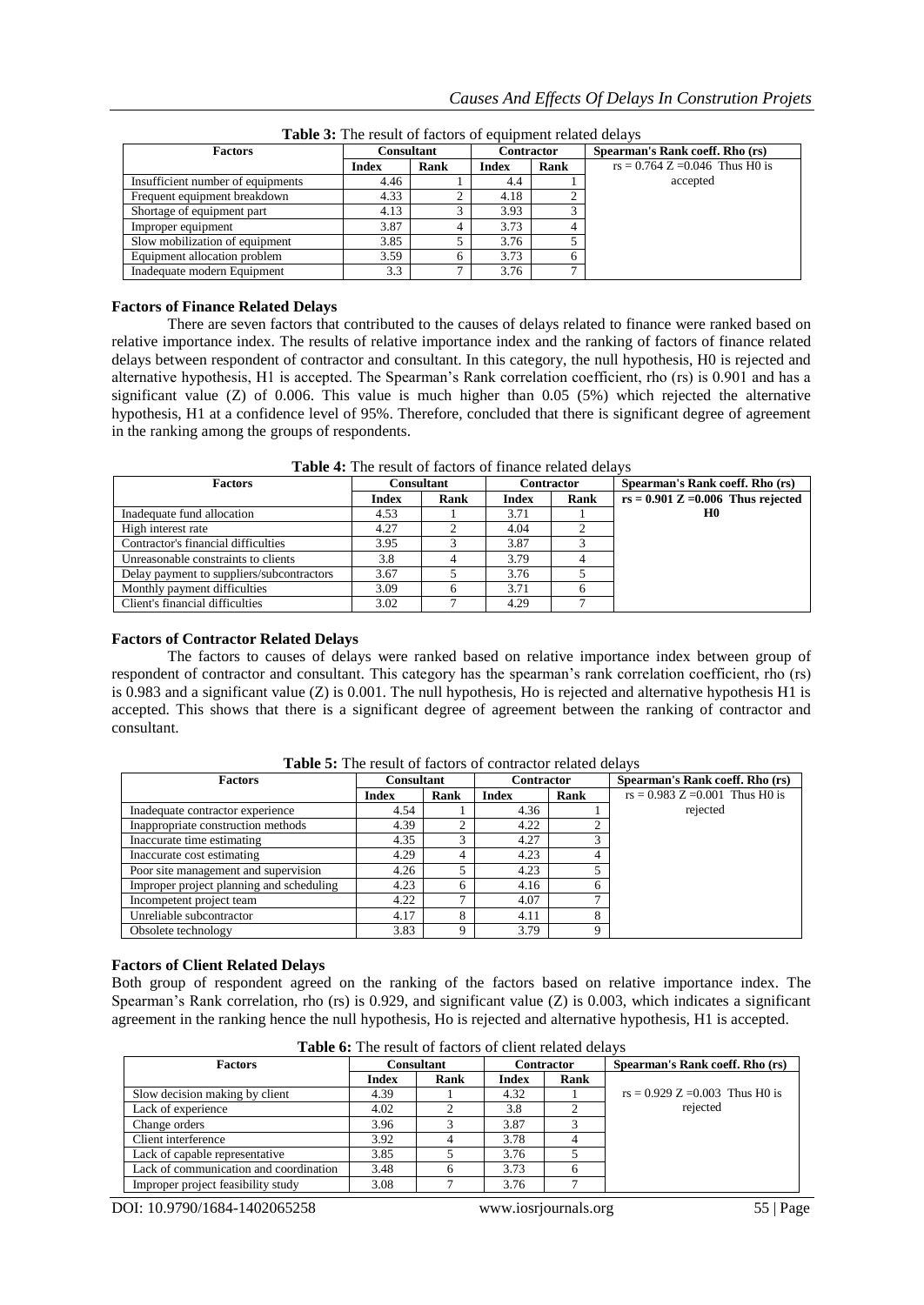| <b>Factors</b>                    | <b>Consultant</b>    |  | <b>Contractor</b> |      | Spearman's Rank coeff. Rho (rs)   |
|-----------------------------------|----------------------|--|-------------------|------|-----------------------------------|
|                                   | Rank<br><b>Index</b> |  | <b>Index</b>      | Rank | $rs = 0.764$ Z = 0.046 Thus H0 is |
| Insufficient number of equipments | 4.46                 |  | 4.4               |      | accepted                          |
| Frequent equipment breakdown      | 4.33                 |  | 4.18              |      |                                   |
| Shortage of equipment part        | 4.13                 |  | 3.93              | ⌒    |                                   |
| Improper equipment                | 3.87                 |  | 3.73              | 4    |                                   |
| Slow mobilization of equipment    | 3.85                 |  | 3.76              |      |                                   |
| Equipment allocation problem      | 3.59                 |  | 3.73              | 6    |                                   |
| Inadequate modern Equipment       | 3.3                  |  | 3.76              | ⇁    |                                   |

**Table 3:** The result of factors of equipment related delays

#### **Factors of Finance Related Delays**

There are seven factors that contributed to the causes of delays related to finance were ranked based on relative importance index. The results of relative importance index and the ranking of factors of finance related delays between respondent of contractor and consultant. In this category, the null hypothesis, H0 is rejected and alternative hypothesis, H1 is accepted. The Spearman's Rank correlation coefficient, rho (rs) is 0.901 and has a significant value ( $Z$ ) of 0.006. This value is much higher than 0.05 ( $5\%$ ) which rejected the alternative hypothesis, H1 at a confidence level of 95%. Therefore, concluded that there is significant degree of agreement in the ranking among the groups of respondents.

| <b>Factors</b>                            | <b>Consultant</b> |      | <b>Contractor</b> |      | Spearman's Rank coeff. Rho (rs)      |  |
|-------------------------------------------|-------------------|------|-------------------|------|--------------------------------------|--|
|                                           | <b>Index</b>      | Rank | <b>Index</b>      | Rank | $rs = 0.901$ Z = 0.006 Thus rejected |  |
| Inadequate fund allocation                | 4.53              |      | 3.71              |      | H <sub>0</sub>                       |  |
| High interest rate                        | 4.27              |      | 4.04              |      |                                      |  |
| Contractor's financial difficulties       | 3.95              |      | 3.87              |      |                                      |  |
| Unreasonable constraints to clients       | 3.8               |      | 3.79              |      |                                      |  |
| Delay payment to suppliers/subcontractors | 3.67              |      | 3.76              |      |                                      |  |
| Monthly payment difficulties              | 3.09              |      | 3.71              |      |                                      |  |
| Client's financial difficulties           | 3.02              |      | 4.29              |      |                                      |  |

**Table 4:** The result of factors of finance related delays

#### **Factors of Contractor Related Delays**

The factors to causes of delays were ranked based on relative importance index between group of respondent of contractor and consultant. This category has the spearman's rank correlation coefficient, rho (rs) is 0.983 and a significant value (Z) is 0.001. The null hypothesis, Ho is rejected and alternative hypothesis H1 is accepted. This shows that there is a significant degree of agreement between the ranking of contractor and consultant.

| <b>Factors</b>                           | <b>Consultant</b> |      | <b>Contractor</b> |      | Spearman's Rank coeff. Rho (rs)   |
|------------------------------------------|-------------------|------|-------------------|------|-----------------------------------|
|                                          | <b>Index</b>      | Rank | <b>Index</b>      | Rank | $rs = 0.983 Z = 0.001$ Thus HO is |
| Inadequate contractor experience         | 4.54              |      | 4.36              |      | rejected                          |
| Inappropriate construction methods       | 4.39              |      | 4.22              |      |                                   |
| Inaccurate time estimating               | 4.35              | ⌒    | 4.27              |      |                                   |
| Inaccurate cost estimating               | 4.29              |      | 4.23              |      |                                   |
| Poor site management and supervision     | 4.26              |      | 4.23              |      |                                   |
| Improper project planning and scheduling | 4.23              | h.   | 4.16              | h    |                                   |
| Incompetent project team                 | 4.22              |      | 4.07              |      |                                   |
| Unreliable subcontractor                 | 4.17              | 8    | 4.11              | 8    |                                   |
| Obsolete technology                      | 3.83              | a    | 3.79              |      |                                   |

**Table 5:** The result of factors of contractor related delays

#### **Factors of Client Related Delays**

Both group of respondent agreed on the ranking of the factors based on relative importance index. The Spearman's Rank correlation, rho (rs) is 0.929, and significant value (Z) is 0.003, which indicates a significant agreement in the ranking hence the null hypothesis, Ho is rejected and alternative hypothesis, H1 is accepted.

| THURS OF THE LEGGIC OF HEEGHT OF CHEMIC LEGICON GENERAL |              |      |                   |      |                                   |  |  |  |
|---------------------------------------------------------|--------------|------|-------------------|------|-----------------------------------|--|--|--|
| <b>Factors</b>                                          | Consultant   |      | <b>Contractor</b> |      | Spearman's Rank coeff. Rho (rs)   |  |  |  |
|                                                         | <b>Index</b> | Rank | <b>Index</b>      | Rank |                                   |  |  |  |
| Slow decision making by client                          | 4.39         |      | 4.32              |      | $rs = 0.929 Z = 0.003$ Thus HO is |  |  |  |
| Lack of experience                                      | 4.02         |      | 3.8               |      | rejected                          |  |  |  |
| Change orders                                           | 3.96         |      | 3.87              |      |                                   |  |  |  |
| Client interference                                     | 3.92         |      | 3.78              |      |                                   |  |  |  |
| Lack of capable representative                          | 3.85         |      | 3.76              |      |                                   |  |  |  |
| Lack of communication and coordination                  | 3.48         |      | 3.73              |      |                                   |  |  |  |
| Improper project feasibility study                      | 3.08         |      | 3.76              |      |                                   |  |  |  |

**Table 6:** The result of factors of client related delays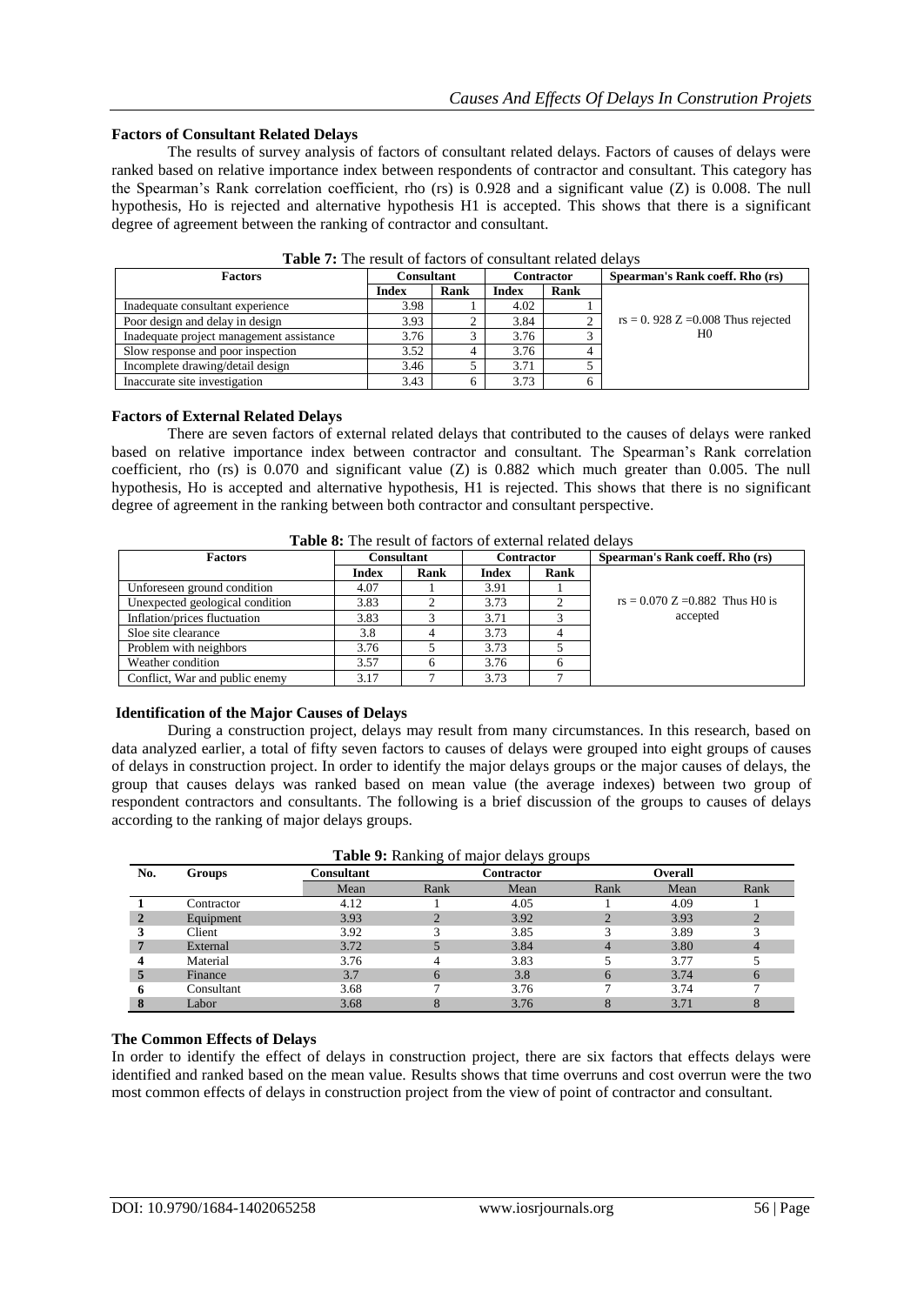accepted

## **Factors of Consultant Related Delays**

The results of survey analysis of factors of consultant related delays. Factors of causes of delays were ranked based on relative importance index between respondents of contractor and consultant. This category has the Spearman's Rank correlation coefficient, rho (rs) is 0.928 and a significant value (Z) is 0.008. The null hypothesis, Ho is rejected and alternative hypothesis H1 is accepted. This shows that there is a significant degree of agreement between the ranking of contractor and consultant.

| <b>Factors</b>                           | Consultant           |  | Contractor   |      | Spearman's Rank coeff. Rho (rs)      |
|------------------------------------------|----------------------|--|--------------|------|--------------------------------------|
|                                          | <b>Index</b><br>Rank |  | <b>Index</b> | Rank |                                      |
| Inadequate consultant experience         | 3.98                 |  | 4.02         |      |                                      |
| Poor design and delay in design          | 3.93                 |  | 3.84         |      | $rs = 0.928$ Z = 0.008 Thus rejected |
| Inadequate project management assistance | 3.76                 |  | 3.76         |      | H <sub>0</sub>                       |
| Slow response and poor inspection        | 3.52                 |  | 3.76         |      |                                      |
| Incomplete drawing/detail design         | 3.46                 |  | 3.71         |      |                                      |
| Inaccurate site investigation            | 3.43                 |  | 3.73         |      |                                      |

**Table 7:** The result of factors of consultant related delays

## **Factors of External Related Delays**

There are seven factors of external related delays that contributed to the causes of delays were ranked based on relative importance index between contractor and consultant. The Spearman's Rank correlation coefficient, rho (rs) is 0.070 and significant value (Z) is 0.882 which much greater than 0.005. The null hypothesis, Ho is accepted and alternative hypothesis, H1 is rejected. This shows that there is no significant degree of agreement in the ranking between both contractor and consultant perspective.

| <b>Table 0.</b> The result of factors of external related delays |            |      |                   |      |                                   |  |  |  |
|------------------------------------------------------------------|------------|------|-------------------|------|-----------------------------------|--|--|--|
| Factors                                                          | Consultant |      | <b>Contractor</b> |      | Spearman's Rank coeff. Rho (rs)   |  |  |  |
|                                                                  | Index      | Rank | Index             | Rank |                                   |  |  |  |
| Unforeseen ground condition                                      | 4.07       |      | 3.91              |      |                                   |  |  |  |
| Unexpected geological condition                                  | 3.83       |      | 3.73              |      | $rs = 0.070$ Z = 0.882 Thus HO is |  |  |  |

**Table 8:** The result of factors of external related delays

## **Identification of the Major Causes of Delays**

Inflation/prices fluctuation  $\begin{array}{|c|c|c|c|c|c|c|c|c|} \hline 3.83 & 3 & 3.71 & 3.71 \ \hline \end{array}$ Sloe site clearance 1 3.8 4 3.73 4 Problem with neighbors 1 3.76 5 3.73 5 Weather condition 1 3.57 6 3.76 6

Conflict, War and public enemy 2.17 7 3.73

During a construction project, delays may result from many circumstances. In this research, based on data analyzed earlier, a total of fifty seven factors to causes of delays were grouped into eight groups of causes of delays in construction project. In order to identify the major delays groups or the major causes of delays, the group that causes delays was ranked based on mean value (the average indexes) between two group of respondent contractors and consultants. The following is a brief discussion of the groups to causes of delays according to the ranking of major delays groups.

| Table 9: Ranking of major delays groups |            |            |                              |      |      |      |      |  |
|-----------------------------------------|------------|------------|------------------------------|------|------|------|------|--|
| No.                                     | Groups     | Consultant | <b>Contractor</b><br>Overall |      |      |      |      |  |
|                                         |            | Mean       | Rank                         | Mean | Rank | Mean | Rank |  |
|                                         | Contractor | 4.12       |                              | 4.05 |      | 4.09 |      |  |
| $\overline{2}$                          | Equipment  | 3.93       |                              | 3.92 |      | 3.93 |      |  |
| 3                                       | Client     | 3.92       |                              | 3.85 |      | 3.89 |      |  |
| 7                                       | External   | 3.72       |                              | 3.84 |      | 3.80 |      |  |
| $\boldsymbol{4}$                        | Material   | 3.76       |                              | 3.83 |      | 3.77 |      |  |
| 5                                       | Finance    | 3.7        | 6                            | 3.8  |      | 3.74 | 6    |  |
| -6                                      | Consultant | 3.68       |                              | 3.76 |      | 3.74 |      |  |
| 8                                       | Labor      | 3.68       |                              | 3.76 |      | 3.71 | ð    |  |

# **The Common Effects of Delays**

In order to identify the effect of delays in construction project, there are six factors that effects delays were identified and ranked based on the mean value. Results shows that time overruns and cost overrun were the two most common effects of delays in construction project from the view of point of contractor and consultant.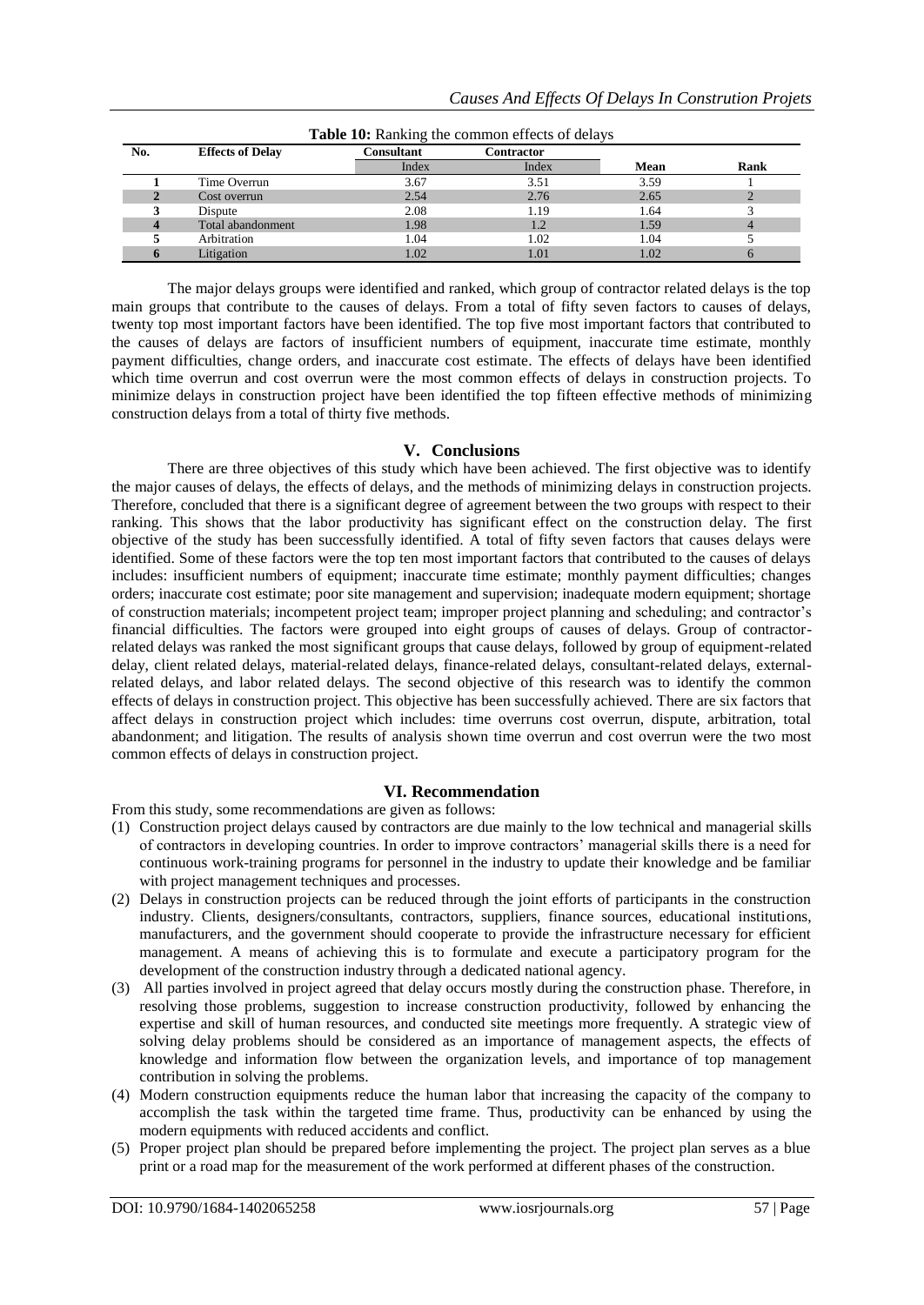|     | <b>Table To:</b> Natiking the common effects of delays |            |            |      |      |  |  |  |  |  |
|-----|--------------------------------------------------------|------------|------------|------|------|--|--|--|--|--|
| No. | <b>Effects of Delay</b>                                | Consultant | Contractor |      |      |  |  |  |  |  |
|     |                                                        | Index      | Index      | Mean | Rank |  |  |  |  |  |
|     | Time Overrun                                           | 3.67       | 3.51       | 3.59 |      |  |  |  |  |  |
|     | Cost overrun                                           | 2.54       | 2.76       | 2.65 |      |  |  |  |  |  |
|     | Dispute                                                | 2.08       | 1.19       | 1.64 |      |  |  |  |  |  |
|     | Total abandonment                                      | 1.98       | 1.2        | 1.59 |      |  |  |  |  |  |
|     | Arbitration                                            | 1.04       | 1.02       | 1.04 |      |  |  |  |  |  |
|     | Litigation                                             | 1.02       | 1.01       | 1.02 |      |  |  |  |  |  |

**Table 10:** Ranking the common effects of delays

The major delays groups were identified and ranked, which group of contractor related delays is the top main groups that contribute to the causes of delays. From a total of fifty seven factors to causes of delays, twenty top most important factors have been identified. The top five most important factors that contributed to the causes of delays are factors of insufficient numbers of equipment, inaccurate time estimate, monthly payment difficulties, change orders, and inaccurate cost estimate. The effects of delays have been identified which time overrun and cost overrun were the most common effects of delays in construction projects. To minimize delays in construction project have been identified the top fifteen effective methods of minimizing construction delays from a total of thirty five methods.

# **V. Conclusions**

There are three objectives of this study which have been achieved. The first objective was to identify the major causes of delays, the effects of delays, and the methods of minimizing delays in construction projects. Therefore, concluded that there is a significant degree of agreement between the two groups with respect to their ranking. This shows that the labor productivity has significant effect on the construction delay. The first objective of the study has been successfully identified. A total of fifty seven factors that causes delays were identified. Some of these factors were the top ten most important factors that contributed to the causes of delays includes: insufficient numbers of equipment; inaccurate time estimate; monthly payment difficulties; changes orders; inaccurate cost estimate; poor site management and supervision; inadequate modern equipment; shortage of construction materials; incompetent project team; improper project planning and scheduling; and contractor's financial difficulties. The factors were grouped into eight groups of causes of delays. Group of contractorrelated delays was ranked the most significant groups that cause delays, followed by group of equipment-related delay, client related delays, material-related delays, finance-related delays, consultant-related delays, externalrelated delays, and labor related delays. The second objective of this research was to identify the common effects of delays in construction project. This objective has been successfully achieved. There are six factors that affect delays in construction project which includes: time overruns cost overrun, dispute, arbitration, total abandonment; and litigation. The results of analysis shown time overrun and cost overrun were the two most common effects of delays in construction project.

# **VI. Recommendation**

From this study, some recommendations are given as follows:

- (1) Construction project delays caused by contractors are due mainly to the low technical and managerial skills of contractors in developing countries. In order to improve contractors' managerial skills there is a need for continuous work-training programs for personnel in the industry to update their knowledge and be familiar with project management techniques and processes.
- (2) Delays in construction projects can be reduced through the joint efforts of participants in the construction industry. Clients, designers/consultants, contractors, suppliers, finance sources, educational institutions, manufacturers, and the government should cooperate to provide the infrastructure necessary for efficient management. A means of achieving this is to formulate and execute a participatory program for the development of the construction industry through a dedicated national agency.
- (3) All parties involved in project agreed that delay occurs mostly during the construction phase. Therefore, in resolving those problems, suggestion to increase construction productivity, followed by enhancing the expertise and skill of human resources, and conducted site meetings more frequently. A strategic view of solving delay problems should be considered as an importance of management aspects, the effects of knowledge and information flow between the organization levels, and importance of top management contribution in solving the problems.
- (4) Modern construction equipments reduce the human labor that increasing the capacity of the company to accomplish the task within the targeted time frame. Thus, productivity can be enhanced by using the modern equipments with reduced accidents and conflict.
- (5) Proper project plan should be prepared before implementing the project. The project plan serves as a blue print or a road map for the measurement of the work performed at different phases of the construction.